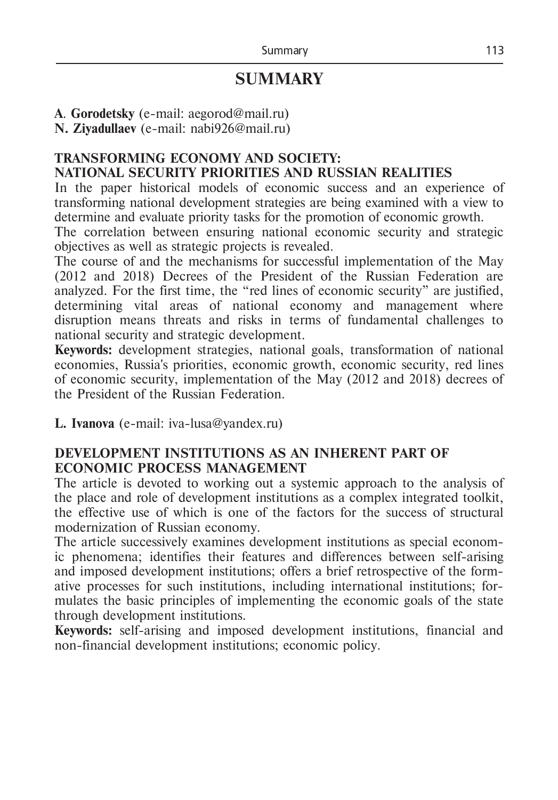# **SUMMARY**

**A**. **Gorodetsky** (e-mail: [aegorod@mail.ru\)](https://e.mail.ru/compose?To=aegorod@mail.ru)

**N. Ziyadullaev** (e-mail: nabi926@mail.ru)

#### **TRANSFORMING ECONOMY AND SOCIETY: NATIONAL SECURITY PRIORITIES AND RUSSIAN REALITIES**

In the paper historical models of economic success and an experience of transforming national development strategies are being examined with a view to determine and evaluate priority tasks for the promotion of economic growth.

The correlation between ensuring national economic security and strategic objectives as well as strategic projects is revealed.

The course of and the mechanisms for successful implementation of the May (2012 and 2018) Decrees of the President of the Russian Federation are analyzed. For the first time, the "red lines of economic security" are justified, determining vital areas of national economy and management where disruption means threats and risks in terms of fundamental challenges to national security and strategic development.

**Keywords:** development strategies, national goals, transformation of national economies, Russia's priorities, economic growth, economic security, red lines of economic security, implementation of the May (2012 and 2018) decrees of the President of the Russian Federation.

**L. Ivanova** (e-mail: iva-lusa@yandex.ru)

## **DEVELOPMENT INSTITUTIONS AS AN INHERENT PART OF ECONOMIC PROCESS MANAGEMENT**

The article is devoted to working out a systemic approach to the analysis of the place and role of development institutions as a complex integrated toolkit, the effective use of which is one of the factors for the success of structural modernization of Russian economy.

The article successively examines development institutions as special economic phenomena; identifies their features and differences between self-arising and imposed development institutions; offers a brief retrospective of the formative processes for such institutions, including international institutions; formulates the basic principles of implementing the economic goals of the state through development institutions.

**Keywords:** self-arising and imposed development institutions, financial and non-financial development institutions; economic policy.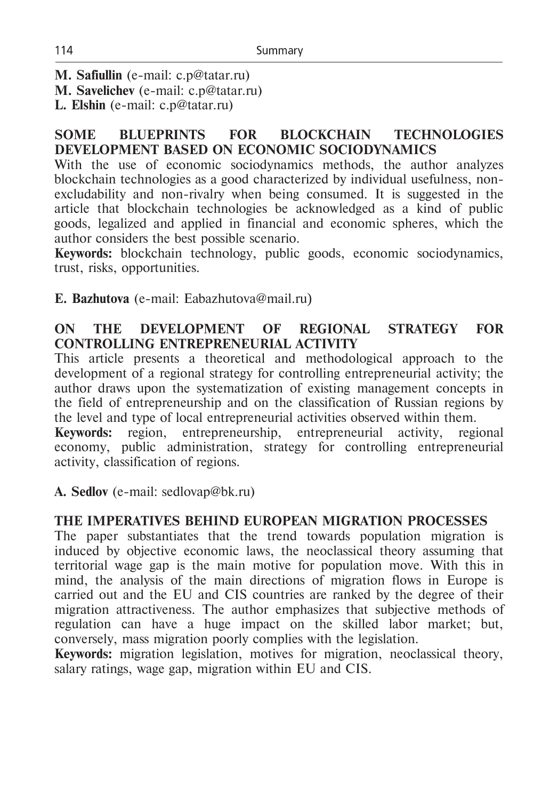**M. Safiullin** (e-mail: c.p@tatar.ru)

**M. Savelichev** (e-mail: c.p@tatar.ru)

**L. Elshin** (e-mail: c.p@tatar.ru)

## **SOME BLUEPRINTS FOR BLOCKCHAIN TECHNOLOGIES DEVELOPMENT BASED ON ECONOMIC SOCIODYNAMICS**

With the use of economic sociodynamics methods, the author analyzes blockchain technologies as a good characterized by individual usefulness, nonexcludability and non-rivalry when being consumed. It is suggested in the article that blockchain technologies be acknowledged as a kind of public goods, legalized and applied in financial and economic spheres, which the author considers the best possible scenario.

**Keywords:** blockchain technology, public goods, economic sociodynamics, trust, risks, opportunities.

**Е. Bazhutova** (e-mail: Eabazhutova@mail.ru)

# **ON THE DEVELOPMENT OF REGIONAL STRATEGY FOR CONTROLLING ENTREPRENEURIAL ACTIVITY**

This article presents a theoretical and methodological approach to the development of a regional strategy for controlling entrepreneurial activity; the author draws upon the systematization of existing management concepts in the field of entrepreneurship and on the classification of Russian regions by the level and type of local entrepreneurial activities observed within them.

**Keywords:** region, entrepreneurship, entrepreneurial activity, regional economy, public administration, strategy for controlling entrepreneurial activity, classification of regions.

**А. Sedlov** (e-mail: sedlovap@bk.ru)

# **THE IMPERATIVES BEHIND EUROPEAN MIGRATION PROCESSES**

The paper substantiates that the trend towards population migration is induced by objective economic laws, the neoclassical theory assuming that territorial wage gap is the main motive for population move. With this in mind, the analysis of the main directions of migration flows in Europe is carried out and the EU and CIS countries are ranked by the degree of their migration attractiveness. The author emphasizes that subjective methods of regulation can have a huge impact on the skilled labor market; but, conversely, mass migration poorly complies with the legislation.

**Keywords:** migration legislation, motives for migration, neoclassical theory, salary ratings, wage gap, migration within EU and CIS.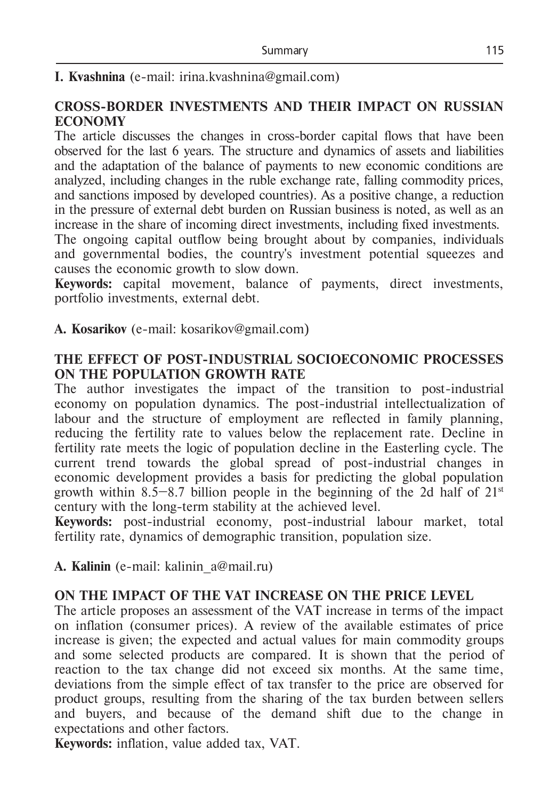## **I. Kvashnina** (e-mail: irina.kvashnina@gmail.com)

#### **CROSS-BORDER INVESTMENTS AND THEIR IMPACT ON RUSSIAN ECONOMY**

The article discusses the changes in cross-border capital flows that have been observed for the last 6 years. The structure and dynamics of assets and liabilities and the adaptation of the balance of payments to new economic conditions are analyzed, including changes in the ruble exchange rate, falling commodity prices, and sanctions imposed by developed countries). As a positive change, a reduction in the pressure of external debt burden on Russian business is noted, as well as an increase in the share of incoming direct investments, including fixed investments.

The ongoing capital outflow being brought about by companies, individuals and governmental bodies, the country's investment potential squeezes and causes the economic growth to slow down.

**Keywords:** capital movement, balance of payments, direct investments, portfolio investments, external debt.

**A. Kosarikov** (e-mail: kosarikov@gmail.com)

#### **THE EFFECT OF POST-INDUSTRIAL SOCIOECONOMIC PROCESSES ON THE POPULATION GROWTH RATE**

The author investigates the impact of the transition to post-industrial economy on population dynamics. The post-industrial intellectualization of labour and the structure of employment are reflected in family planning, reducing the fertility rate to values below the replacement rate. Decline in fertility rate meets the logic of population decline in the Easterling cycle. The current trend towards the global spread of post-industrial changes in economic development provides a basis for predicting the global population growth within 8.5–8.7 billion people in the beginning of the 2d half of  $21<sup>st</sup>$ century with the long-term stability at the achieved level.

**Keywords:** post-industrial economy, post-industrial labour market, total fertility rate, dynamics of demographic transition, population size.

**A. Kalinin** (e-mail: [kalinin\\_a@mail.ru\)](mailto:kalinin_a@mail.ru)

## **ON THE IMPACT OF THE VAT INCREASE ON THE PRICE LEVEL**

The article proposes an assessment of the VAT increase in terms of the impact on inflation (consumer prices). A review of the available estimates of price increase is given; the expected and actual values for main commodity groups and some selected products are compared. It is shown that the period of reaction to the tax change did not exceed six months. At the same time, deviations from the simple effect of tax transfer to the price are observed for product groups, resulting from the sharing of the tax burden between sellers and buyers, and because of the demand shift due to the change in expectations and other factors.

**Keywords:** inflation, value added tax, VAT.